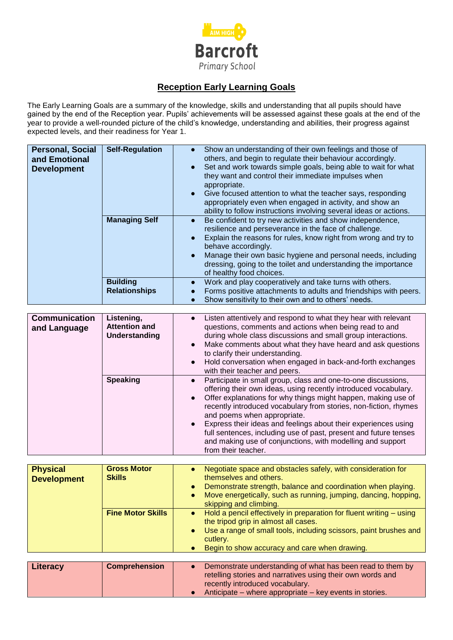

## **Reception Early Learning Goals**

The Early Learning Goals are a summary of the knowledge, skills and understanding that all pupils should have gained by the end of the Reception year. Pupils' achievements will be assessed against these goals at the end of the year to provide a well-rounded picture of the child's knowledge, understanding and abilities, their progress against expected levels, and their readiness for Year 1.

| <b>Personal, Social</b><br>and Emotional<br><b>Development</b> | <b>Self-Regulation</b>                                     | Show an understanding of their own feelings and those of<br>$\bullet$<br>others, and begin to regulate their behaviour accordingly.<br>Set and work towards simple goals, being able to wait for what<br>they want and control their immediate impulses when<br>appropriate.<br>Give focused attention to what the teacher says, responding<br>appropriately even when engaged in activity, and show an<br>ability to follow instructions involving several ideas or actions. |
|----------------------------------------------------------------|------------------------------------------------------------|-------------------------------------------------------------------------------------------------------------------------------------------------------------------------------------------------------------------------------------------------------------------------------------------------------------------------------------------------------------------------------------------------------------------------------------------------------------------------------|
|                                                                | <b>Managing Self</b>                                       | Be confident to try new activities and show independence,<br>$\bullet$<br>resilience and perseverance in the face of challenge.<br>Explain the reasons for rules, know right from wrong and try to<br>$\bullet$<br>behave accordingly.<br>Manage their own basic hygiene and personal needs, including<br>$\bullet$<br>dressing, going to the toilet and understanding the importance<br>of healthy food choices.                                                             |
|                                                                | <b>Building</b><br><b>Relationships</b>                    | Work and play cooperatively and take turns with others.<br>$\bullet$<br>Forms positive attachments to adults and friendships with peers.<br>$\bullet$<br>Show sensitivity to their own and to others' needs.<br>$\bullet$                                                                                                                                                                                                                                                     |
|                                                                |                                                            |                                                                                                                                                                                                                                                                                                                                                                                                                                                                               |
| <b>Communication</b><br>and Language                           | Listening,<br><b>Attention and</b><br><b>Understanding</b> | Listen attentively and respond to what they hear with relevant<br>$\bullet$<br>questions, comments and actions when being read to and<br>during whole class discussions and small group interactions.<br>Make comments about what they have heard and ask questions<br>$\bullet$<br>to clarify their understanding.<br>Hold conversation when engaged in back-and-forth exchanges<br>$\bullet$<br>with their teacher and peers.                                               |
|                                                                | <b>Speaking</b>                                            | Participate in small group, class and one-to-one discussions,<br>$\bullet$<br>offering their own ideas, using recently introduced vocabulary.<br>Offer explanations for why things might happen, making use of<br>$\bullet$<br>recently introduced vocabulary from stories, non-fiction, rhymes<br>and poems when appropriate.<br>Express their ideas and feelings about their experiences using<br>full sentences, including use of past, present and future tenses          |
|                                                                |                                                            | and making use of conjunctions, with modelling and support<br>from their teacher.                                                                                                                                                                                                                                                                                                                                                                                             |

| <b>Physical</b><br><b>Development</b> | <b>Gross Motor</b><br><b>Skills</b> | Negotiate space and obstacles safely, with consideration for<br>themselves and others.<br>Demonstrate strength, balance and coordination when playing.<br>$\bullet$<br>Move energetically, such as running, jumping, dancing, hopping,<br>skipping and climbing.        |
|---------------------------------------|-------------------------------------|-------------------------------------------------------------------------------------------------------------------------------------------------------------------------------------------------------------------------------------------------------------------------|
|                                       | <b>Fine Motor Skills</b>            | Hold a pencil effectively in preparation for fluent writing – using<br>$\bullet$<br>the tripod grip in almost all cases.<br>Use a range of small tools, including scissors, paint brushes and<br>$\bullet$<br>cutlery.<br>Begin to show accuracy and care when drawing. |
|                                       |                                     |                                                                                                                                                                                                                                                                         |
| Literacy                              | <b>Comprehension</b>                | Demonstrate understanding of what has been read to them by<br>retelling stories and narratives using their own words and<br>recently introduced vocabulary.                                                                                                             |

● Anticipate – where appropriate – key events in stories.